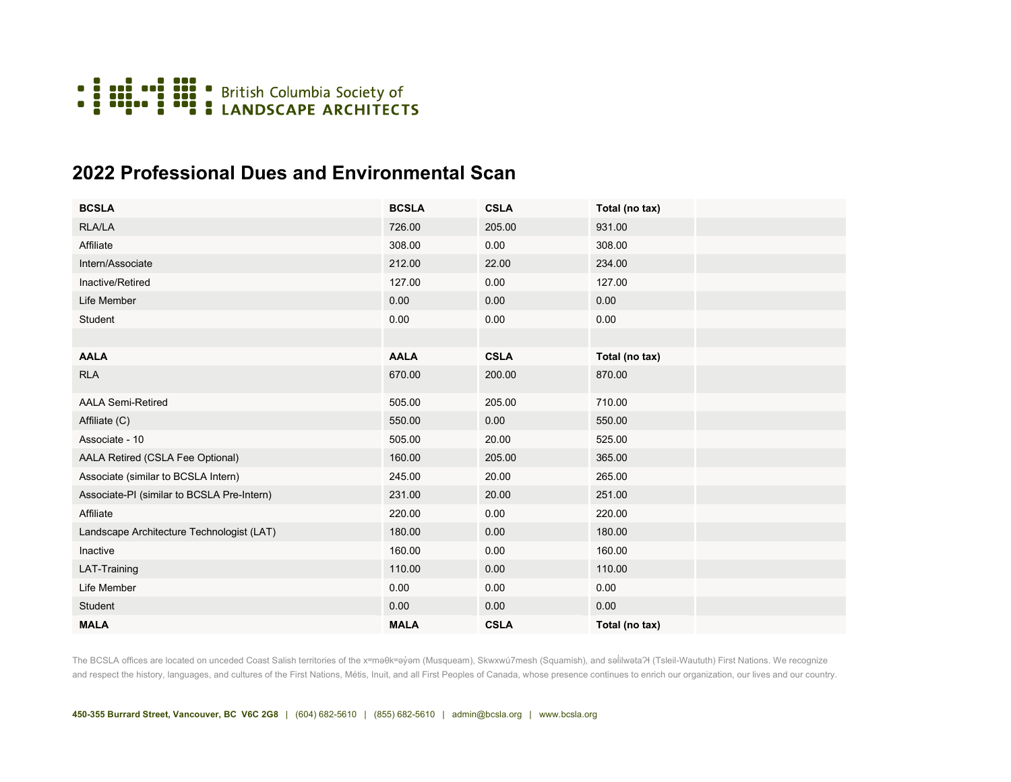

## **2022 Professional Dues and Environmental Scan**

| <b>BCSLA</b>                               | <b>BCSLA</b> | <b>CSLA</b> | Total (no tax) |  |
|--------------------------------------------|--------------|-------------|----------------|--|
| RLA/LA                                     | 726.00       | 205.00      | 931.00         |  |
| Affiliate                                  | 308.00       | 0.00        | 308.00         |  |
| Intern/Associate                           | 212.00       | 22.00       | 234.00         |  |
| Inactive/Retired                           | 127.00       | 0.00        | 127.00         |  |
| Life Member                                | 0.00         | 0.00        | 0.00           |  |
| Student                                    | 0.00         | 0.00        | 0.00           |  |
|                                            |              |             |                |  |
| <b>AALA</b>                                | <b>AALA</b>  | <b>CSLA</b> | Total (no tax) |  |
| RLA                                        | 670.00       | 200.00      | 870.00         |  |
| <b>AALA Semi-Retired</b>                   | 505.00       | 205.00      | 710.00         |  |
| Affiliate (C)                              | 550.00       | 0.00        | 550.00         |  |
| Associate - 10                             | 505.00       | 20.00       | 525.00         |  |
| AALA Retired (CSLA Fee Optional)           | 160.00       | 205.00      | 365.00         |  |
| Associate (similar to BCSLA Intern)        | 245.00       | 20.00       | 265.00         |  |
| Associate-PI (similar to BCSLA Pre-Intern) | 231.00       | 20.00       | 251.00         |  |
| Affiliate                                  | 220.00       | 0.00        | 220.00         |  |
| Landscape Architecture Technologist (LAT)  | 180.00       | 0.00        | 180.00         |  |
| Inactive                                   | 160.00       | 0.00        | 160.00         |  |
| LAT-Training                               | 110.00       | 0.00        | 110.00         |  |
| Life Member                                | 0.00         | 0.00        | 0.00           |  |
| Student                                    | 0.00         | 0.00        | 0.00           |  |
| <b>MALA</b>                                | <b>MALA</b>  | <b>CSLA</b> | Total (no tax) |  |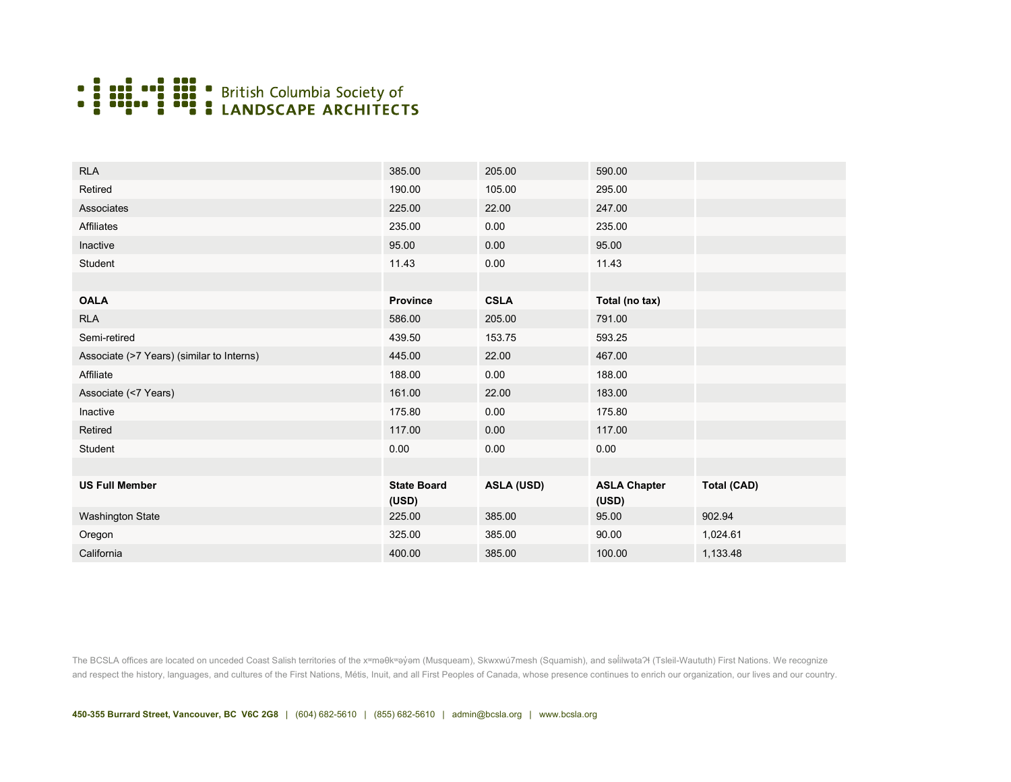

| <b>RLA</b>                                | 385.00                      | 205.00            | 590.00                       |                    |
|-------------------------------------------|-----------------------------|-------------------|------------------------------|--------------------|
| Retired                                   | 190.00                      | 105.00            | 295.00                       |                    |
| Associates                                | 225.00                      | 22.00             | 247.00                       |                    |
| Affiliates                                | 235.00                      | 0.00              | 235.00                       |                    |
| Inactive                                  | 95.00                       | 0.00              | 95.00                        |                    |
| Student                                   | 11.43                       | 0.00              | 11.43                        |                    |
|                                           |                             |                   |                              |                    |
| <b>OALA</b>                               | <b>Province</b>             | <b>CSLA</b>       | Total (no tax)               |                    |
| <b>RLA</b>                                | 586.00                      | 205.00            | 791.00                       |                    |
| Semi-retired                              | 439.50                      | 153.75            | 593.25                       |                    |
| Associate (>7 Years) (similar to Interns) | 445.00                      | 22.00             | 467.00                       |                    |
| Affiliate                                 | 188.00                      | 0.00              | 188.00                       |                    |
| Associate (<7 Years)                      | 161.00                      | 22.00             | 183.00                       |                    |
| Inactive                                  | 175.80                      | 0.00              | 175.80                       |                    |
| Retired                                   | 117.00                      | 0.00              | 117.00                       |                    |
| Student                                   | 0.00                        | 0.00              | 0.00                         |                    |
|                                           |                             |                   |                              |                    |
| <b>US Full Member</b>                     | <b>State Board</b><br>(USD) | <b>ASLA (USD)</b> | <b>ASLA Chapter</b><br>(USD) | <b>Total (CAD)</b> |
| <b>Washington State</b>                   | 225.00                      | 385.00            | 95.00                        | 902.94             |
| Oregon                                    | 325.00                      | 385.00            | 90.00                        | 1,024.61           |
| California                                | 400.00                      | 385.00            | 100.00                       | 1,133.48           |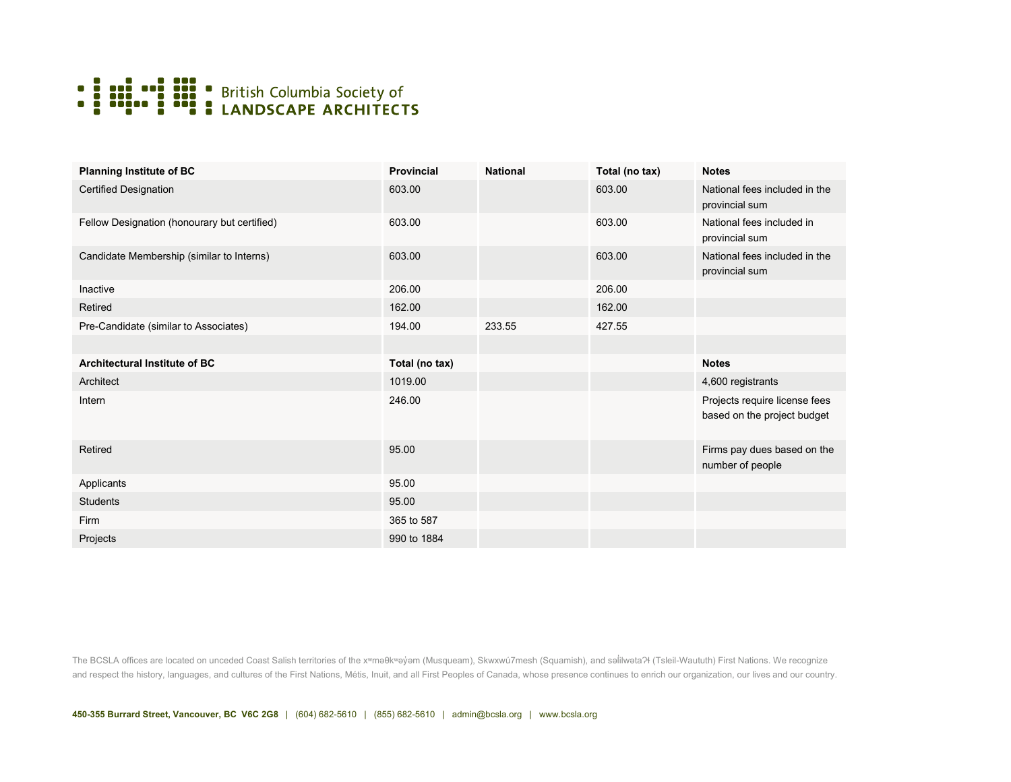

| <b>Planning Institute of BC</b>              | <b>Provincial</b> | <b>National</b> | Total (no tax) | <b>Notes</b>                                                 |
|----------------------------------------------|-------------------|-----------------|----------------|--------------------------------------------------------------|
| <b>Certified Designation</b>                 | 603.00            |                 | 603.00         | National fees included in the<br>provincial sum              |
| Fellow Designation (honourary but certified) | 603.00            |                 | 603.00         | National fees included in<br>provincial sum                  |
| Candidate Membership (similar to Interns)    | 603.00            |                 | 603.00         | National fees included in the<br>provincial sum              |
| Inactive                                     | 206.00            |                 | 206.00         |                                                              |
| Retired                                      | 162.00            |                 | 162.00         |                                                              |
| Pre-Candidate (similar to Associates)        | 194.00            | 233.55          | 427.55         |                                                              |
|                                              |                   |                 |                |                                                              |
|                                              |                   |                 |                |                                                              |
| Architectural Institute of BC                | Total (no tax)    |                 |                | <b>Notes</b>                                                 |
| Architect                                    | 1019.00           |                 |                | 4,600 registrants                                            |
| Intern                                       | 246.00            |                 |                | Projects require license fees<br>based on the project budget |
| Retired                                      | 95.00             |                 |                | Firms pay dues based on the<br>number of people              |
| Applicants                                   | 95.00             |                 |                |                                                              |
| <b>Students</b>                              | 95.00             |                 |                |                                                              |
| Firm                                         | 365 to 587        |                 |                |                                                              |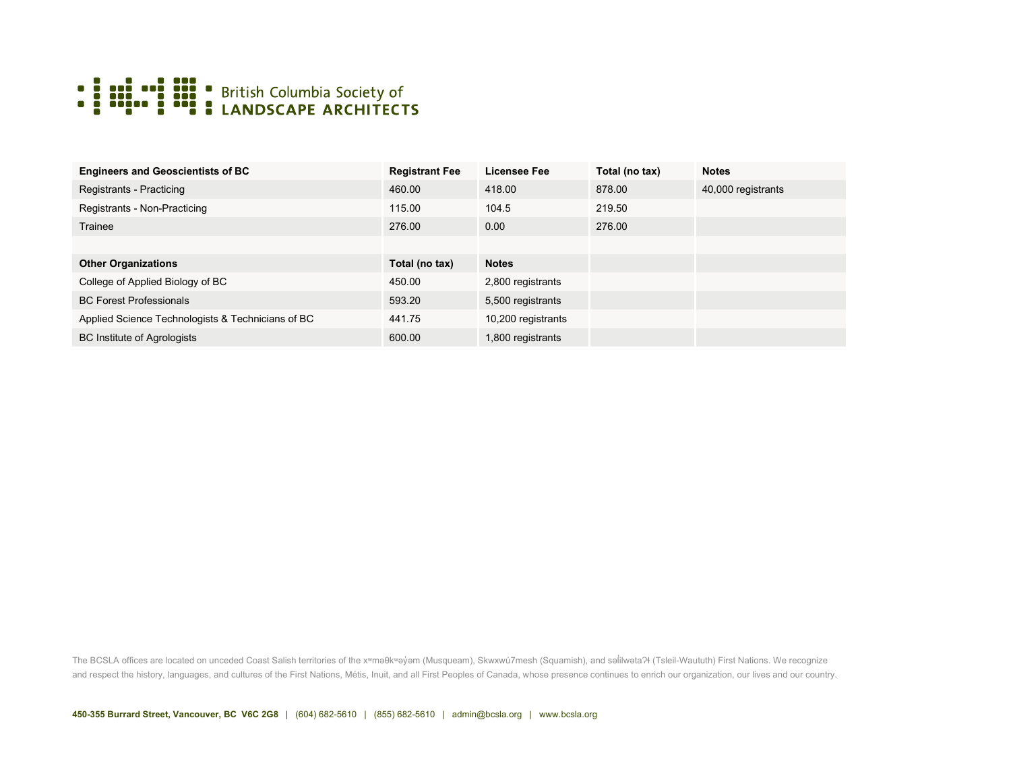

| <b>Engineers and Geoscientists of BC</b>          | <b>Registrant Fee</b> | <b>Licensee Fee</b> | Total (no tax) | <b>Notes</b>       |
|---------------------------------------------------|-----------------------|---------------------|----------------|--------------------|
| Registrants - Practicing                          | 460.00                | 418.00              | 878.00         | 40,000 registrants |
| Registrants - Non-Practicing                      | 115.00                | 104.5               | 219.50         |                    |
| Trainee                                           | 276.00                | 0.00                | 276.00         |                    |
|                                                   |                       |                     |                |                    |
| <b>Other Organizations</b>                        | Total (no tax)        | <b>Notes</b>        |                |                    |
| College of Applied Biology of BC                  | 450.00                | 2,800 registrants   |                |                    |
| <b>BC Forest Professionals</b>                    | 593.20                | 5,500 registrants   |                |                    |
| Applied Science Technologists & Technicians of BC | 441.75                | 10,200 registrants  |                |                    |
| <b>BC Institute of Agrologists</b>                | 600.00                | 1,800 registrants   |                |                    |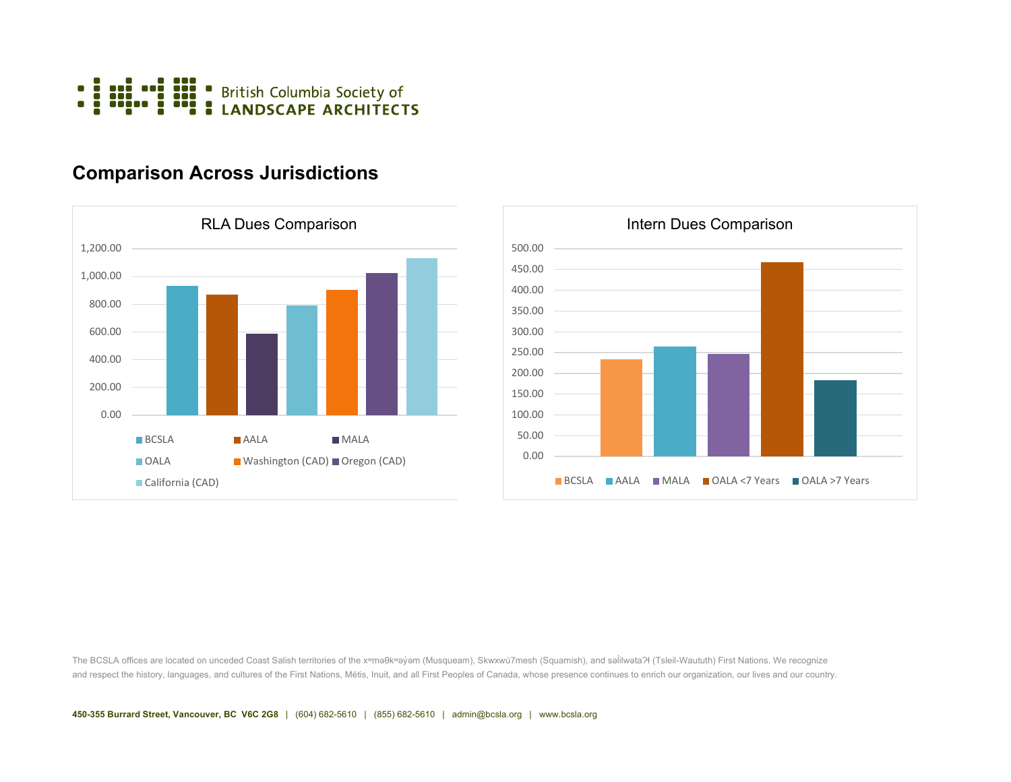

## **Comparison Across Jurisdictions**





The BCSLA offices are located on unceded Coast Salish territories of the xʷmǝθkʷǝy̓ອm (Musqueam), Skwxwú7mesh (Squamish), and sәlilwәtaʔɬ (Tsleil-Waututh) First Nations. We recognize and respect the history, languages, and cultures of the First Nations, Métis, Inuit, and all First Peoples of Canada, whose presence continues to enrich our organization, our lives and our country.

**450-355 Burrard Street, Vancouver, BC V6C 2G8** | (604) 682-5610 | (855) 682-5610 | admin@bcsla.org | www.bcsla.org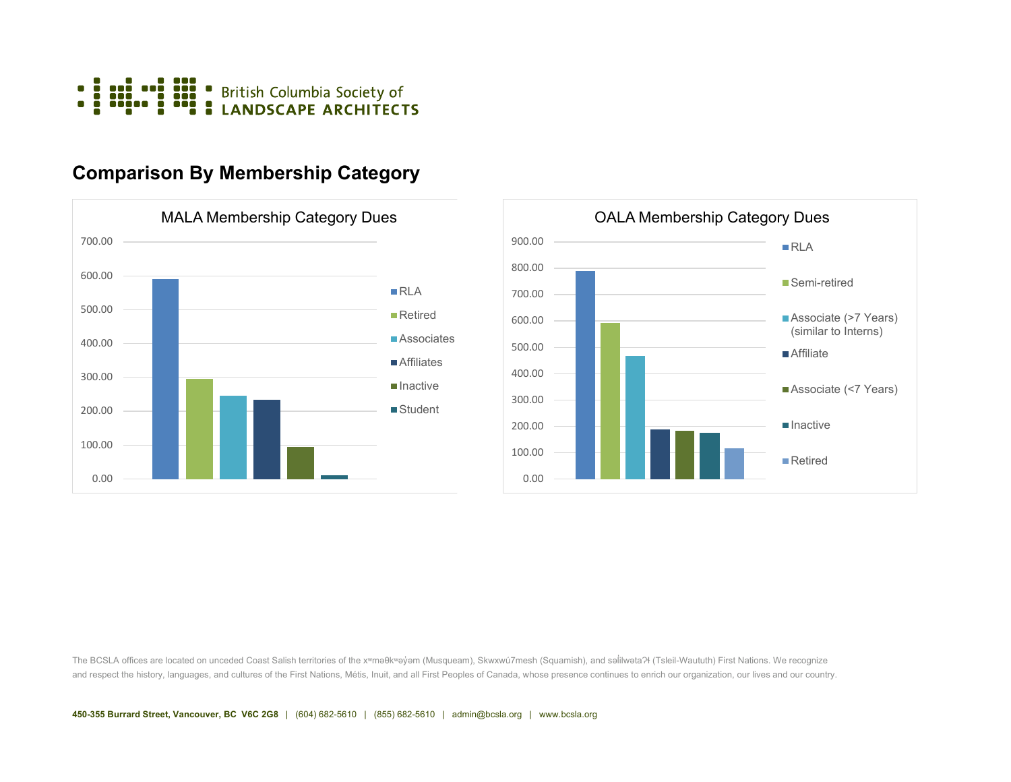

## **Comparison By Membership Category**



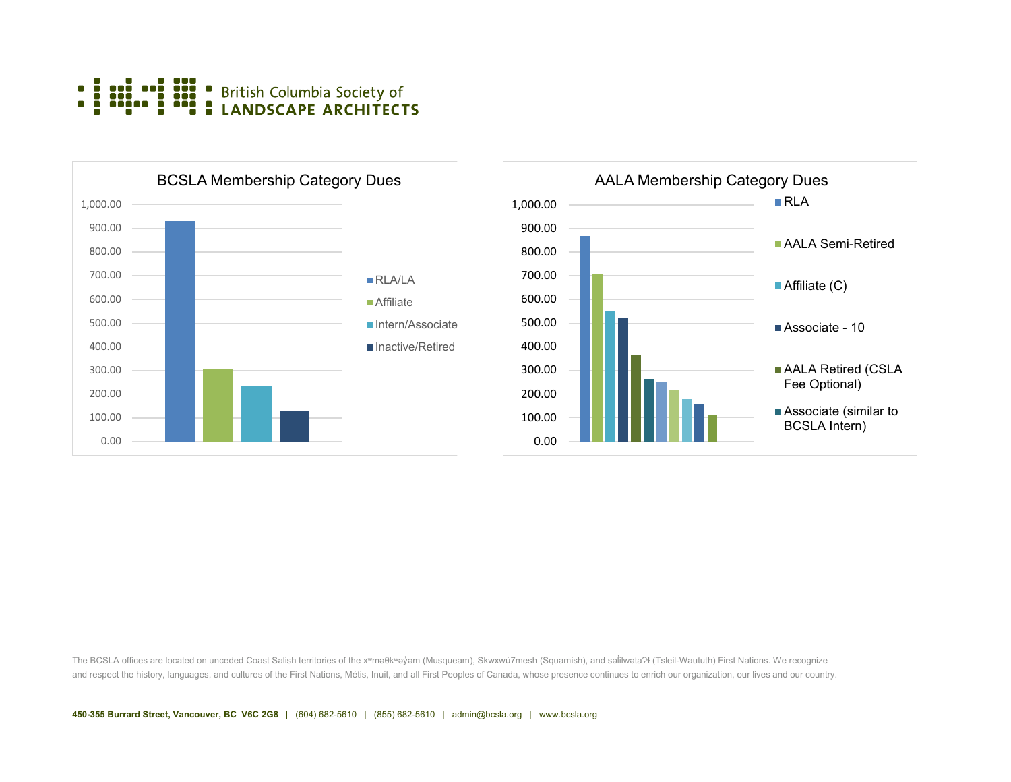-<br>-<br>-**British Columbia Society of<br>LANDSCAPE ARCHITECTS** HH. π